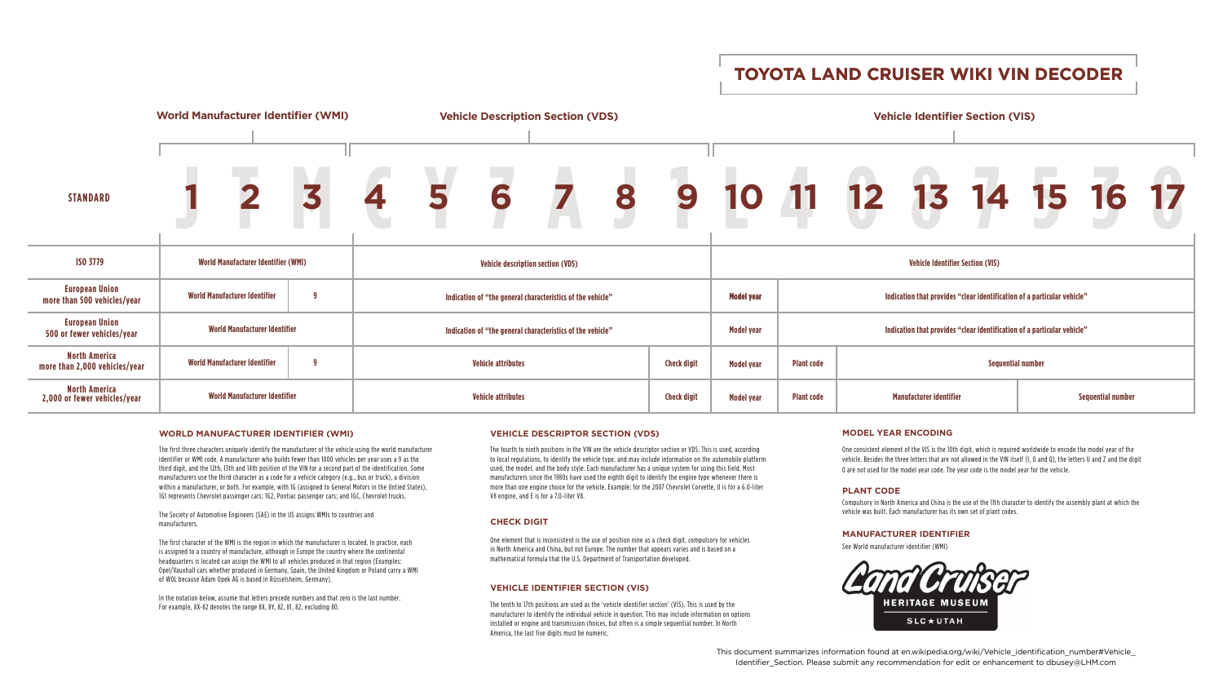# **TOYOTA LAND CRUISER WIKI VIN DECODER**

# **WORLD MANUFACTURER IDENTIFIER (WMI)**

The first three characters uniquely identify the manufacturer of the vehicle using the world manufacturer identifier or WMI code. A manufacturer who builds fewer than 1000 vehicles per year uses a 9 as the third digit, and the 12th, 13th and 14th position of the VIN for a second part of the identification. Some manufacturers use the third character as a code for a vehicle category (e.g., bus or truck), a division within a manufacturer, or both. For example, with 1G (assigned to General Motors in the Untied States), 1G1 represents Chevrolet passenger cars; 1G2, Pontiac passenger cars; and 1GC, Chevrolet trucks.

The Society of Automotive Engineers (SAE) in the US assigns WMIs to countries and manufacturers.

The first character of the WMI is the region in which the manufacturer is located. In practice, each is assigned to a country of manufacture, although in Europe the country where the continental headquarters is located can assign the WMI to all vehicles produced in that region (Examples: Opel/Vauxhall cars whether produced in Germany, Spain, the United Kingdom or Poland carry a WMI of W0L because Adam Opek AG is based in Rüsselsheim, Germany).

In the notation below, assume that letters precede numbers and that zero is the last number. For example, 8X-82 denotes the range 8X, 8Y, 8Z, 81, 82, excluding 80.

The tenth to 17th positions are used as the 'vehicle identifier section' (VIS). This is used by the manufacturer to identify the individual vehicle in question. This may include information on options installed or engine and transmission choices, but often is a simple sequential number. In North America, the last five digits must be numeric.

# **MODEL YEAR ENCODING**

One consistent element of the VIS is the 10th digit, which is required worldwide to encode the model year of the vehicle. Besides the three letters that are not allowed in the VIN itself (I, O and Q), the letters U and Z and the digit 0 are not used for the model year code. The year code is the model year for the vehicle.

# **VEHICLE IDENTIFIER SECTION (VIS)**

## **CHECK DIGIT**

One element that is inconsistent is the use of position nine as a check digit, compulsory for vehicles in North America and China, but not Europe. The number that appears varies and is based on a mathematical formula that the U.S. Department of Transportation developed.

## **VEHICLE DESCRIPTOR SECTION (VDS)**

|   |                                         |                                                                         |                                                            | 10 11 12 13 14 15 16 17 |  |  |  |  |  |  |  |  |  |
|---|-----------------------------------------|-------------------------------------------------------------------------|------------------------------------------------------------|-------------------------|--|--|--|--|--|--|--|--|--|
|   | <b>Vehicle Identifier Section (VIS)</b> |                                                                         |                                                            |                         |  |  |  |  |  |  |  |  |  |
|   | <b>Model year</b>                       | Indication that provides "clear identification of a particular vehicle" |                                                            |                         |  |  |  |  |  |  |  |  |  |
|   | <b>Model year</b>                       | Indication that provides "clear identification of a particular vehicle" |                                                            |                         |  |  |  |  |  |  |  |  |  |
| t | <b>Model year</b>                       | <b>Plant code</b>                                                       | <b>Sequential number</b>                                   |                         |  |  |  |  |  |  |  |  |  |
| t | <b>Model year</b>                       | <b>Plant code</b>                                                       | <b>Manufacturer identifier</b><br><b>Sequential number</b> |                         |  |  |  |  |  |  |  |  |  |



The fourth to ninth positions in the VIN are the vehicle descriptor section or VDS. This is used, according to local regulations, to identify the vehicle type, and may include information on the automobile platform used, the model, and the body style. Each manufacturer has a unique system for using this field. Most manufacturers since the 1980s have used the eighth digit to identify the engine type whenever there is more than one engine choice for the vehicle. Example: for the 2007 Chevrolet Corvette, U is for a 6.0-liter V8 engine, and E is for a 7.0-liter V8.

# **PLANT CODE**

Compulsory in North America and China is the use of the 11th character to identify the assembly plant at which the vehicle was built. Each manufacturer has its own set of plant codes.

## **MANUFACTURER IDENTIFIER**

See World manufacturer identifier (WMI)



This document summarizes information found at en.wikipedia.org/wiki/Vehicle\_identification\_number#Vehicle\_ Identifier\_Section. Please submit any recommendation for edit or enhancement to dbusey@LHM.com